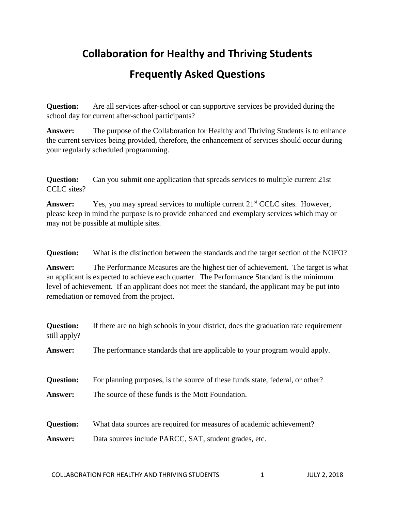## **Collaboration for Healthy and Thriving Students**

## **Frequently Asked Questions**

**Question:** Are all services after-school or can supportive services be provided during the school day for current after-school participants?

**Answer:** The purpose of the Collaboration for Healthy and Thriving Students is to enhance the current services being provided, therefore, the enhancement of services should occur during your regularly scheduled programming.

**Question:** Can you submit one application that spreads services to multiple current 21st CCLC sites?

**Answer:** Yes, you may spread services to multiple current 21<sup>st</sup> CCLC sites. However, please keep in mind the purpose is to provide enhanced and exemplary services which may or may not be possible at multiple sites.

**Question:** What is the distinction between the standards and the target section of the NOFO?

**Answer:** The Performance Measures are the highest tier of achievement. The target is what an applicant is expected to achieve each quarter. The Performance Standard is the minimum level of achievement. If an applicant does not meet the standard, the applicant may be put into remediation or removed from the project.

| <b>Question:</b><br>still apply? | If there are no high schools in your district, does the graduation rate requirement |
|----------------------------------|-------------------------------------------------------------------------------------|
| Answer:                          | The performance standards that are applicable to your program would apply.          |
| <b>Question:</b>                 | For planning purposes, is the source of these funds state, federal, or other?       |
| <b>Answer:</b>                   | The source of these funds is the Mott Foundation.                                   |
| <b>Question:</b>                 | What data sources are required for measures of academic achievement?                |
| Answer:                          | Data sources include PARCC, SAT, student grades, etc.                               |